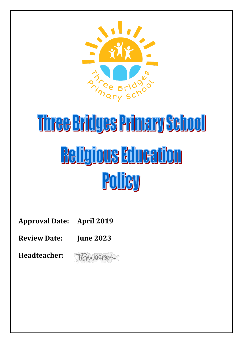

# Three Bridges Primary School **Religious Education** Policy

**Approval Date: April 2019**

**Review Date: June 2023**

**Headteacher:** 

TEmperson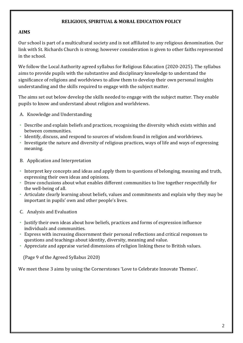#### **RELIGIOUS, SPIRITUAL & MORAL EDUCATION POLICY**

#### **AIMS**

Our school is part of a multicultural society and is not affiliated to any religious denomination. Our link with St. Richards Church is strong; however consideration is given to other faiths represented in the school.

We follow the Local Authority agreed syllabus for Religious Education (2020-2025). The syllabus aims to provide pupils with the substantive and disciplinary knowledge to understand the significance of religions and worldviews to allow them to develop their own personal insights understanding and the skills required to engage with the subject matter.

The aims set out below develop the skills needed to engage with the subject matter. They enable pupils to know and understand about religion and worldviews.

- A. Knowledge and Understanding
- Describe and explain beliefs and practices, recognising the diversity which exists within and between communities.
- Identify, discuss, and respond to sources of wisdom found in religion and worldviews.
- Investigate the nature and diversity of religious practices, ways of life and ways of expressing meaning.
- B. Application and Interpretation
- Interpret key concepts and ideas and apply them to questions of belonging, meaning and truth, expressing their own ideas and opinions.
- Draw conclusions about what enables different communities to live together respectfully for the well-being of all.
- Articulate clearly learning about beliefs, values and commitments and explain why they may be important in pupils' own and other people's lives.
- C. Analysis and Evaluation
- Justify their own ideas about how beliefs, practices and forms of expression influence individuals and communities.
- Express with increasing discernment their personal reflections and critical responses to questions and teachings about identity, diversity, meaning and value.
- Appreciate and appraise varied dimensions of religion linking these to British values.

(Page 9 of the Agreed Syllabus 2020)

We meet these 3 aims by using the Cornerstones 'Love to Celebrate Innovate Themes'.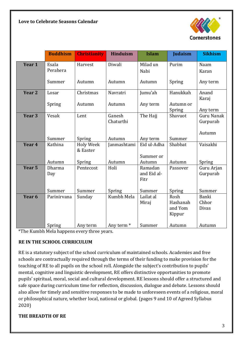

|                   | <b>Buddhism</b>   | <b>Christianity</b>          | <b>Hinduism</b>       | <b>Islam</b>                   | <b>Judaism</b>                        | <b>Sikhism</b>                          |
|-------------------|-------------------|------------------------------|-----------------------|--------------------------------|---------------------------------------|-----------------------------------------|
| Year 1            | Esala<br>Perahera | Harvest                      | Diwali                | Milad un<br>Nabi               | Purim                                 | Naam<br>Karan                           |
|                   | Summer            | Autumn                       | Autumn                | Autumn                         | Spring                                | Any term                                |
| Year <sub>2</sub> | Losar             | Christmas                    | Navratri              | Jumu'ah                        | Hanukkah                              | Anand<br>Karaj                          |
|                   | Spring            | Autumn                       | Autumn                | Any term                       | Autumn or<br>Spring                   | Any term                                |
| Year <sub>3</sub> | Vesak             | Lent                         | Ganesh<br>Chaturthi   | The Hajj                       | Shavuot                               | <b>Guru Nanak</b><br>Gurpurab<br>Autumn |
|                   | Summer            | Spring                       | Autumn                | Any term                       | Summer                                |                                         |
| Year <sub>4</sub> | Kathina           | <b>Holy Week</b><br>& Easter | Janmashtami           | Eid ul-Adha<br>Summer or       | Shabbat                               | Vaisakhi                                |
|                   | Autumn            | Spring                       | Autumn                | Autumn                         | Autumn                                | Spring                                  |
| Year <sub>5</sub> | Dharma<br>Day     | Pentecost                    | Holi                  | Ramadan<br>and Eid al-<br>Fitr | Passover                              | Guru Arjan<br>Gurpurab                  |
|                   | Summer            | Summer                       | Spring                | Summer                         | Spring                                | Summer                                  |
| Year <sub>6</sub> | Parinirvana       | Sunday                       | Kumbh Mela            | Lailat al<br>Miraj             | Rosh<br>Hashanah<br>and Yom<br>Kippur | <b>Banki</b><br>Chhor<br><b>Divas</b>   |
|                   | Spring            | Any term                     | Any term <sup>*</sup> | Summer                         | Autumn                                | Autumn                                  |

\*The Kumbh Mela happens every three years.

# **RE IN THE SCHOOL CURRICULUM**

RE is a statutory subject of the school curriculum of maintained schools. Academies and free schools are contractually required through the terms of their funding to make provision for the teaching of RE to all pupils on the school roll. Alongside the subject's contribution to pupils' mental, cognitive and linguistic development, RE offers distinctive opportunities to promote pupils' spiritual, moral, social and cultural development. RE lessons should offer a structured and safe space during curriculum time for reflection, discussion, dialogue and debate. Lessons should also allow for timely and sensitive responses to be made to unforeseen events of a religious, moral or philosophical nature, whether local, national or global. (pages 9 and 10 of Agreed Syllabus 2020)

#### **THE BREADTH OF RE**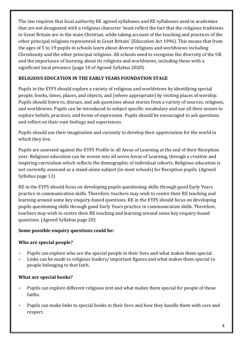The law requires that local authority RE agreed syllabuses and RE syllabuses used in academies that are not designated with a religious character 'must reflect the fact that the religious traditions in Great Britain are in the main Christian, while taking account of the teaching and practices of the other principal religions represented in Great Britain' (Education Act 1996). This means that from the ages of 5 to 19 pupils in schools learn about diverse religions and worldviews including Christianity and the other principal religions. All schools need to recognise the diversity of the UK and the importance of learning about its religions and worldviews, including those with a significant local presence (page 10 of Agreed Syllabus 2020).

# **RELIGIOUS EDUCATION IN THE EARLY YEARS FOUNDATION STAGE**

Pupils in the EYFS should explore a variety of religious and worldviews by identifying special people, books, times, places, and objects, and (where appropriate) by visiting places of worship. Pupils should listen to, discuss, and ask questions about stories from a variety of sources, religions, and worldviews. Pupils can be introduced to subject specific vocabulary and use all their senses to explore beliefs, practices, and forms of expression. Pupils should be encouraged to ask questions and reflect on their own feelings and experiences.

Pupils should use their imagination and curiosity to develop their appreciation for the world in which they live.

Pupils are assessed against the EYFS Profile in all Areas of Learning at the end of their Reception year. Religious education can be woven into all seven Areas of Learning, through a creative and inspiring curriculum which reflects the demographic of individual cohorts. Religious education is not currently assessed as a stand-alone subject (in most schools) for Reception pupils. (Agreed Syllabus page 13)

RE in the EYFS should focus on developing pupils questioning skills through good Early Years practice in communication skills. Therefore, teachers may wish to centre their RE teaching and learning around some key enquiry-based questions. RE in the EYFS should focus on developing pupils questioning skills through good Early Years practice in communication skills. Therefore, teachers may wish to centre their RE teaching and learning around some key enquiry-based questions. (Agreed Syllabus page 20)

# **Some possible enquiry questions could be:**

# **Who are special people?**

- Pupils can explore who are the special people in their lives and what makes them special.
- Links can be made to religious leaders/ important figures and what makes them special to people belonging to that faith.

# **What are special books?**

- Pupils can explore different religious text and what makes them special for people of those faiths.
- Pupils can make links to special books in their lives and how they handle them with care and respect.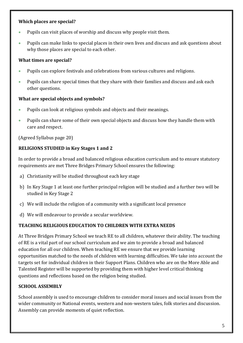#### **Which places are special?**

- Pupils can visit places of worship and discuss why people visit them.
- Pupils can make links to special places in their own lives and discuss and ask questions about why those places are special to each other.

#### **What times are special?**

- Pupils can explore festivals and celebrations from various cultures and religions.
- Pupils can share special times that they share with their families and discuss and ask each other questions.

#### **What are special objects and symbols?**

- Pupils can look at religious symbols and objects and their meanings.
- Pupils can share some of their own special objects and discuss how they handle them with care and respect.

(Agreed Syllabus page 20)

# **RELIGIONS STUDIED in Key Stages 1 and 2**

In order to provide a broad and balanced religious education curriculum and to ensure statutory requirements are met Three Bridges Primary School ensures the following:

- a) Christianity will be studied throughout each key stage
- b) In Key Stage 1 at least one further principal religion will be studied and a further two will be studied in Key Stage 2
- c) We will include the religion of a community with a significant local presence
- d) We will endeavour to provide a secular worldview.

# **TEACHING RELIGIOUS EDUCATION TO CHILDREN WITH EXTRA NEEDS**

At Three Bridges Primary School we teach RE to all children, whatever their ability. The teaching of RE is a vital part of our school curriculum and we aim to provide a broad and balanced education for all our children. When teaching RE we ensure that we provide learning opportunities matched to the needs of children with learning difficulties. We take into account the targets set for individual children in their Support Plans. Children who are on the More Able and Talented Register will be supported by providing them with higher level critical thinking questions and reflections based on the religion being studied.

# **SCHOOL ASSEMBLY**

School assembly is used to encourage children to consider moral issues and social issues from the wider community or National events, western and non-western tales, folk stories and discussion. Assembly can provide moments of quiet reflection.